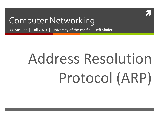

#### Computer Networking

COMP 177 | Fall 2020 | University of the Pacific | Jeff Shafer

# Address Resolution Protocol (ARP)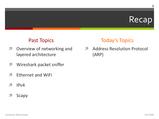#### Recap

#### **Past Topics**

- Overview of networking and  $\overline{\phantom{a}}$ layered architecture
- Wireshark packet sniffer 7
- **Ethernet and WiFi** 7
- $IPv4$ 21
- Scapy 7

#### **Today's Topics**

**Address Resolution Protocol**  $\mathbf{z}$  $(ARP)$ 

 $\overline{2}$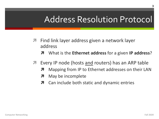### **Address Resolution Protocol**

- Find link layer address given a network layer  $\overline{\phantom{a}}$ address
	- **7** What is the **Ethernet address** for a given **IP address**?
- Every IP node (hosts and routers) has an ARP table  $\overline{\phantom{a}}$ 
	- Mapping from IP to Ethernet addresses on their LAN 7
	- May be incomplete  $\overline{\phantom{a}}$
	- Can include both static and dynamic entries 7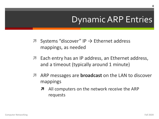# **Dynamic ARP Entries**

- **7** Systems "discover" IP  $\rightarrow$  Ethernet address mappings, as needed
- Each entry has an IP address, an Ethernet address, 7 and a timeout (typically around 1 minute)
- ARP messages are **broadcast** on the LAN to discover 7 mappings
	- All computers on the network receive the ARP  $\overline{\phantom{a}}$ requests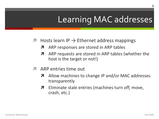# **Learning MAC addresses**

- **7** Hosts learn IP  $\rightarrow$  Ethernet address mappings
	- ARP responses are stored in ARP tables 7
	- ARP requests are stored in ARP tables (whether the host is the target or not!)
- ARP entries time out
	- Allow machines to change IP and/or MAC addresses transparently
	- Eliminate stale entries (machines turn off, move, 7 crash, etc.)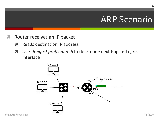- Router receives an IP packet
	- 7 Reads destination IP address
	- Uses longest prefix match to determine next hop and egress  $\boldsymbol{\pi}$ interface

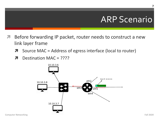- Before forwarding IP packet, router needs to construct a new link layer frame
	- Source MAC = Address of egress interface (local to router) 7
	- Destination MAC = ???? 7

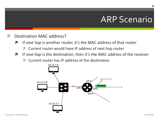- **Destination MAC address?** 71
	- If next hop is another router, it's the MAC address of that router Я
		- Current router would have IP address of next hop router 7
	- If next hop is the destination, then it's the MAC address of the receiver  $\overline{\boldsymbol{\pi}}$ 
		- Current router has IP address of the destination

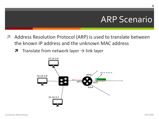- Address Resolution Protocol (ARP) is used to translate between the known IP address and the unknown MAC address
	- $\pi$  Translate from network layer  $\rightarrow$  link layer

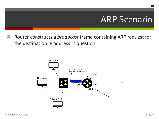ì Router constructs a *broadcast* frame containing ARP request for the destination IP address in question

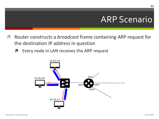- Router constructs a *broadcast* frame containing ARP request for the destination IP address in question
	- Every node in LAN receives the ARP request  $\overline{\phantom{a}}$

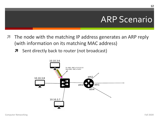- The node with the matching IP address generates an ARP reply (with information on its matching MAC address)
	- **7** Sent directly back to router (not broadcast)

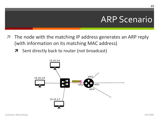- The node with the matching IP address generates an ARP reply (with information on its matching MAC address)
	- **7** Sent directly back to router (not broadcast)

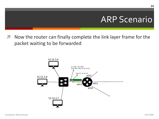Now the router can finally complete the link layer frame for the packet waiting to be forwarded

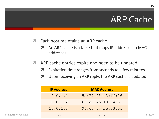## **ARP Cache**

- 7 Each host maintains an ARP cache
	- An ARP cache is a table that maps IP addresses to MAC 7 addresses
- ARP cache entries expire and need to be updated  $\overline{\phantom{a}}$ 
	- 7 Expiration time ranges from seconds to a few minutes
	- Upon receiving an ARP reply, the ARP cache is updated 7

| <b>IP Address</b> | <b>MAC Address</b>     |
|-------------------|------------------------|
| 10.0.1.1          | 5a:77:28: e3:ff:26     |
| 10.0.1.2          | 62: a0: 4b: 19: 34: 6d |
| 10.0.1.3          | 96:03:37:be:73:cc      |
|                   |                        |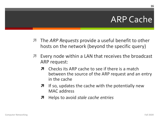## **ARP Cache**

- The ARP Requests provide a useful benefit to other  $\overline{\phantom{a}}$ hosts on the network (beyond the specific query)
- Every node within a LAN that receives the broadcast  $\overline{\phantom{a}}$ ARP request:
	- Checks its ARP cache to see if there is a match between the source of the ARP request and an entry in the cache
	- If so, updates the cache with the potentially new  $\boldsymbol{\pi}$ MAC address
	- Helps to avoid stale cache entries 7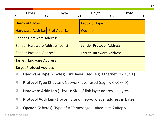| 1 byte                          | 1 byte | 1 byte<br>1 byte               |  |  |
|---------------------------------|--------|--------------------------------|--|--|
| <b>Hardware Type</b>            |        | <b>Protocol Type</b>           |  |  |
| Hardware Addr Len Prot Addr Len |        | Opcode                         |  |  |
| <b>Sender Hardware Address</b>  |        |                                |  |  |
| Sender Hardware Address (cont)  |        | <b>Sender Protocol Address</b> |  |  |
| <b>Sender Protocol Address</b>  |        | <b>Target Hardware Address</b> |  |  |
| <b>Target Hardware Address</b>  |        |                                |  |  |
| <b>Target Protocol Address</b>  |        |                                |  |  |

- *A* Hardware Type (2 bytes): Link layer used (e.g. Ethernet,  $0 \times 0001$ )
- *A* Protocol Type (2 bytes): Network layer used (e.g. IP, 0x0800)
- *A* Hardware Addr Len (1 byte): Size of link layer address in bytes
- *A* Protocol Addr Len (1 byte): Size of network layer address in bytes
- **<sup>7</sup>** Opcode (2 bytes): Type of ARP message (1=Request, 2=Reply)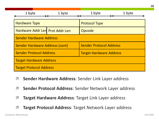| 1 byte                                | 1 byte | 1 byte                         | 1 byte |  |  |
|---------------------------------------|--------|--------------------------------|--------|--|--|
| <b>Hardware Type</b>                  |        | <b>Protocol Type</b>           |        |  |  |
| Hardware Addr Len Prot Addr Len       |        | Opcode                         |        |  |  |
| <b>Sender Hardware Address</b>        |        |                                |        |  |  |
| <b>Sender Hardware Address (cont)</b> |        | <b>Sender Protocol Address</b> |        |  |  |
| <b>Sender Protocol Address</b>        |        | <b>Target Hardware Address</b> |        |  |  |
| <b>Target Hardware Address</b>        |        |                                |        |  |  |
| <b>Target Protocol Address</b>        |        |                                |        |  |  |

- *A* Sender Hardware Address: Sender Link Layer address
- *A* Sender Protocol Address: Sender Network Layer address
- **7 Target Hardware Address: Target Link Layer address**
- **7 Target Protocol Address: Target Network Layer address**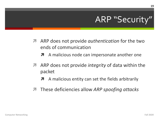## ARP "Security"

- **A** ARP does not provide *authentication* for the two ends of communication
	- A malicious node can impersonate another one  $\overline{\boldsymbol{z}}$
- **A** ARP does not provide *integrity* of data within the packet
	- A malicious entity can set the fields arbitrarily  $\overline{\boldsymbol{z}}$
- **These deficiencies allow ARP spoofing attacks**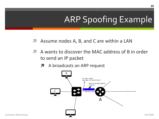- Assume nodes A, B, and C are within a LAN 7
- 7 A wants to discover the MAC address of B in order to send an IP packet
	- **7** A broadcasts an ARP request

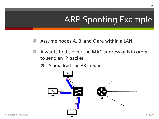- Assume nodes A, B, and C are within a LAN 7
- $\overline{\phantom{a}}$ A wants to discover the MAC address of B in order to send an IP packet
	- **7** A broadcasts an ARP request

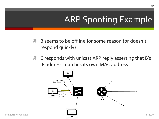- **7** B seems to be offline for some reason (or doesn't respond quickly)
- C responds with unicast ARP reply asserting that B's 7 IP address matches its own MAC address

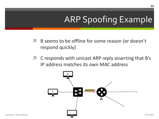- **7** B seems to be offline for some reason (or doesn't respond quickly)
- C responds with unicast ARP reply asserting that B's 7 IP address matches its own MAC address

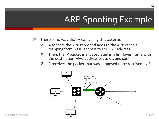- There is no way that A can verify this assertion  $\overline{\phantom{a}}$ 
	- A accepts the ARP reply and adds to the ARP cache a 7 mapping from B's IP address to C's MAC address
	- Then, the IP packet is encapsulated in a link layer frame with 7 the destination MAC address set to C's and sent
	- Я C receives the packet that was supposed to be received by B